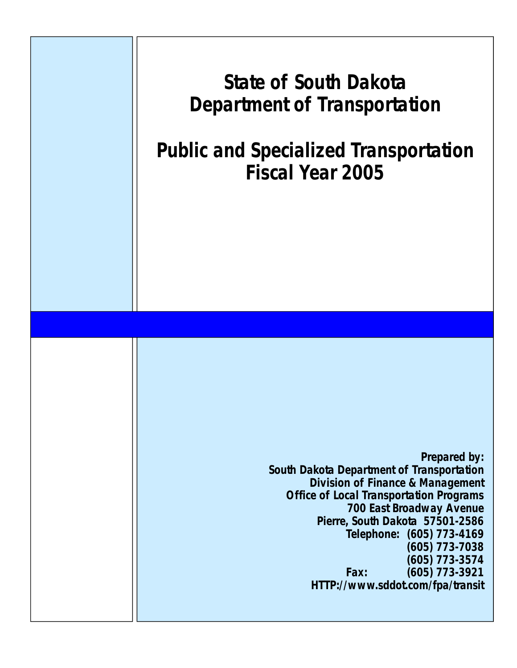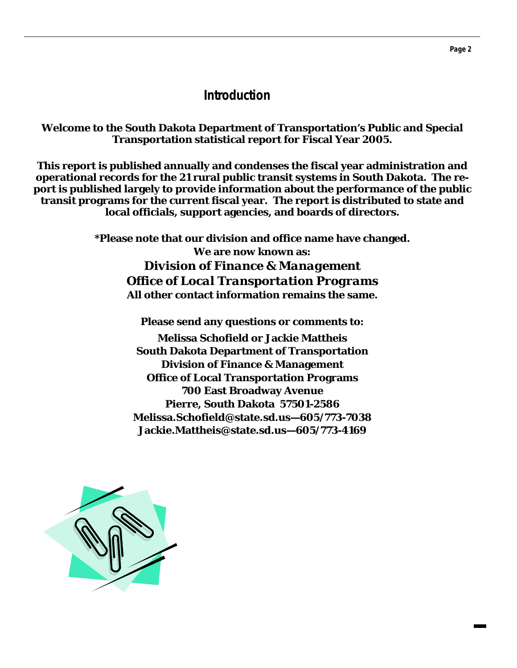## **Introduction**

#### **Welcome to the South Dakota Department of Transportation's Public and Special Transportation statistical report for Fiscal Year 2005.**

**This report is published annually and condenses the fiscal year administration and operational records for the 21 rural public transit systems in South Dakota. The report is published largely to provide information about the performance of the public transit programs for the current fiscal year. The report is distributed to state and local officials, support agencies, and boards of directors.** 

> **\*Please note that our division and office name have changed. We are now known as:**  *Division of Finance & Management Office of Local Transportation Programs*  **All other contact information remains the same.**

> > **Please send any questions or comments to:**

**Melissa Schofield or Jackie Mattheis South Dakota Department of Transportation Division of Finance & Management Office of Local Transportation Programs 700 East Broadway Avenue Pierre, South Dakota 57501-2586 Melissa.Schofield@state.sd.us—605/773-7038 Jackie.Mattheis@state.sd.us—605/773-4169** 

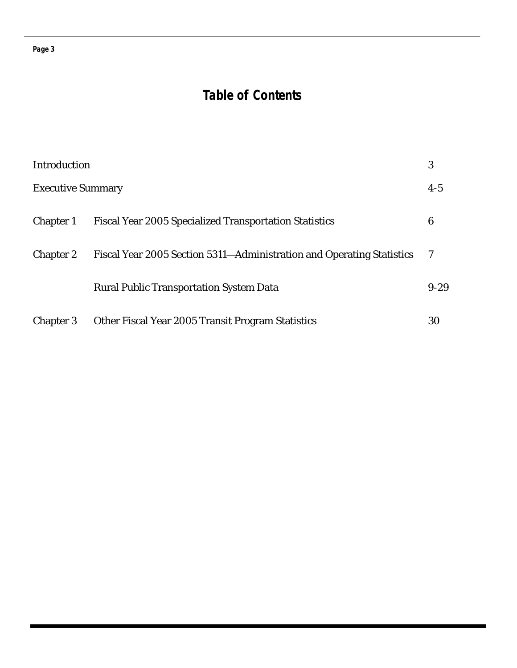#### **Page 3**

## **Table of Contents**

| Introduction             |                                                                       | 3        |
|--------------------------|-----------------------------------------------------------------------|----------|
| <b>Executive Summary</b> |                                                                       | $4 - 5$  |
| <b>Chapter 1</b>         | <b>Fiscal Year 2005 Specialized Transportation Statistics</b>         | 6        |
| <b>Chapter 2</b>         | Fiscal Year 2005 Section 5311—Administration and Operating Statistics |          |
|                          | <b>Rural Public Transportation System Data</b>                        | $9 - 29$ |
| Chapter 3                | Other Fiscal Year 2005 Transit Program Statistics                     | 30       |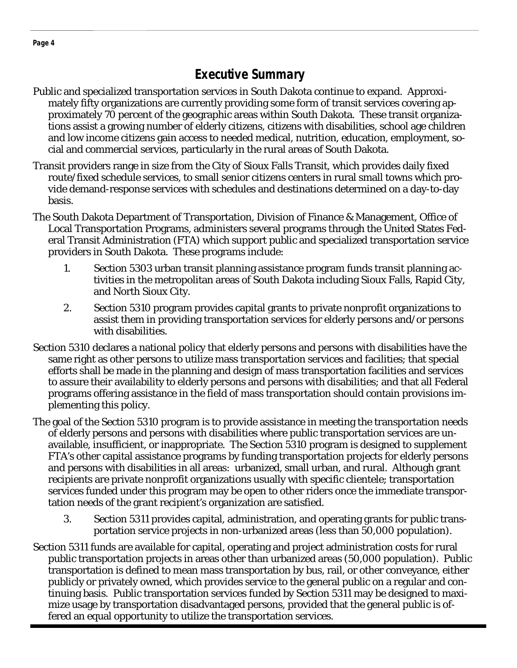## **Executive Summary**

- Public and specialized transportation services in South Dakota continue to expand. Approximately fifty organizations are currently providing some form of transit services covering approximately 70 percent of the geographic areas within South Dakota. These transit organizations assist a growing number of elderly citizens, citizens with disabilities, school age children and low income citizens gain access to needed medical, nutrition, education, employment, social and commercial services, particularly in the rural areas of South Dakota.
- Transit providers range in size from the City of Sioux Falls Transit, which provides daily fixed route/fixed schedule services, to small senior citizens centers in rural small towns which provide demand-response services with schedules and destinations determined on a day-to-day basis.
- The South Dakota Department of Transportation, Division of Finance & Management, Office of Local Transportation Programs, administers several programs through the United States Federal Transit Administration (FTA) which support public and specialized transportation service providers in South Dakota. These programs include:
	- 1. Section 5303 urban transit planning assistance program funds transit planning ac tivities in the metropolitan areas of South Dakota including Sioux Falls, Rapid City, and North Sioux City.
	- 2. Section 5310 program provides capital grants to private nonprofit organizations to assist them in providing transportation services for elderly persons and/or persons with disabilities.
- Section 5310 declares a national policy that elderly persons and persons with disabilities have the same right as other persons to utilize mass transportation services and facilities; that special efforts shall be made in the planning and design of mass transportation facilities and services to assure their availability to elderly persons and persons with disabilities; and that all Federal programs offering assistance in the field of mass transportation should contain provisions implementing this policy.
- The goal of the Section 5310 program is to provide assistance in meeting the transportation needs of elderly persons and persons with disabilities where public transportation services are unavailable, insufficient, or inappropriate. The Section 5310 program is designed to supplement FTA's other capital assistance programs by funding transportation projects for elderly persons and persons with disabilities in all areas: urbanized, small urban, and rural. Although grant recipients are private nonprofit organizations usually with specific clientele; transportation services funded under this program may be open to other riders once the immediate transportation needs of the grant recipient's organization are satisfied.
	- 3. Section 5311 provides capital, administration, and operating grants for public trans portation service projects in non-urbanized areas (less than 50,000 population).
- Section 5311 funds are available for capital, operating and project administration costs for rural public transportation projects in areas other than urbanized areas (50,000 population). Public transportation is defined to mean mass transportation by bus, rail, or other conveyance, either publicly or privately owned, which provides service to the general public on a regular and continuing basis. Public transportation services funded by Section 5311 may be designed to maximize usage by transportation disadvantaged persons, provided that the general public is offered an equal opportunity to utilize the transportation services.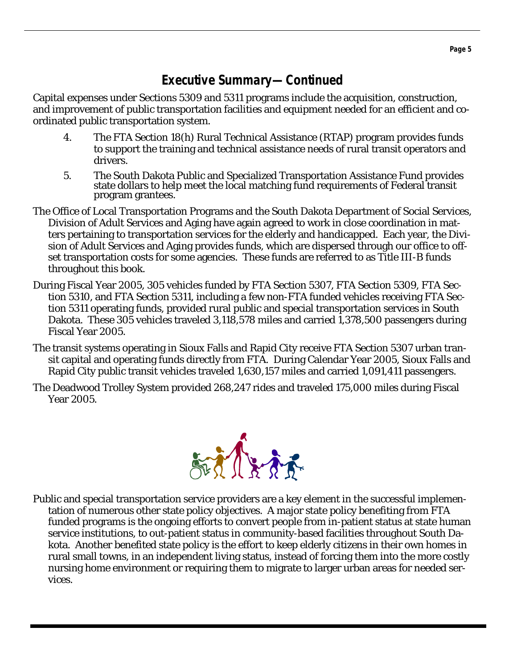## **Executive Summary—Continued**

Capital expenses under Sections 5309 and 5311 programs include the acquisition, construction, and improvement of public transportation facilities and equipment needed for an efficient and coordinated public transportation system.

- 4. The FTA Section 18(h) Rural Technical Assistance (RTAP) program provides funds to support the training and technical assistance needs of rural transit operators and drivers.
- 5. The South Dakota Public and Specialized Transportation Assistance Fund provides state dollars to help meet the local matching fund requirements of Federal transit program grantees.
- The Office of Local Transportation Programs and the South Dakota Department of Social Services, Division of Adult Services and Aging have again agreed to work in close coordination in matters pertaining to transportation services for the elderly and handicapped. Each year, the Division of Adult Services and Aging provides funds, which are dispersed through our office to offset transportation costs for some agencies. These funds are referred to as Title III-B funds throughout this book.
- During Fiscal Year 2005, 305 vehicles funded by FTA Section 5307, FTA Section 5309, FTA Section 5310, and FTA Section 5311, including a few non-FTA funded vehicles receiving FTA Section 5311 operating funds, provided rural public and special transportation services in South Dakota. These 305 vehicles traveled 3,118,578 miles and carried 1,378,500 passengers during Fiscal Year 2005.
- The transit systems operating in Sioux Falls and Rapid City receive FTA Section 5307 urban transit capital and operating funds directly from FTA. During Calendar Year 2005, Sioux Falls and Rapid City public transit vehicles traveled 1,630,157 miles and carried 1,091,411 passengers.
- The Deadwood Trolley System provided 268,247 rides and traveled 175,000 miles during Fiscal Year 2005.



Public and special transportation service providers are a key element in the successful implementation of numerous other state policy objectives. A major state policy benefiting from FTA funded programs is the ongoing efforts to convert people from in-patient status at state human service institutions, to out-patient status in community-based facilities throughout South Dakota. Another benefited state policy is the effort to keep elderly citizens in their own homes in rural small towns, in an independent living status, instead of forcing them into the more costly nursing home environment or requiring them to migrate to larger urban areas for needed services.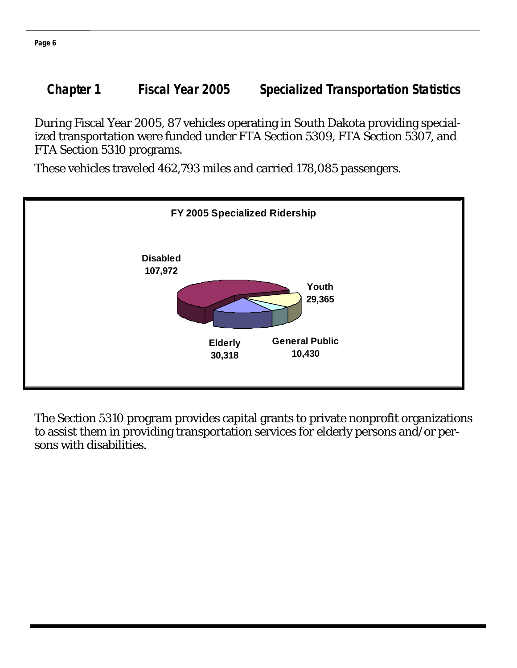**Chapter 1 Fiscal Year 2005 Specialized Transportation Statistics** 

During Fiscal Year 2005, 87 vehicles operating in South Dakota providing specialized transportation were funded under FTA Section 5309, FTA Section 5307, and FTA Section 5310 programs.

These vehicles traveled 462,793 miles and carried 178,085 passengers.



The Section 5310 program provides capital grants to private nonprofit organizations to assist them in providing transportation services for elderly persons and/or persons with disabilities.

**Page 6**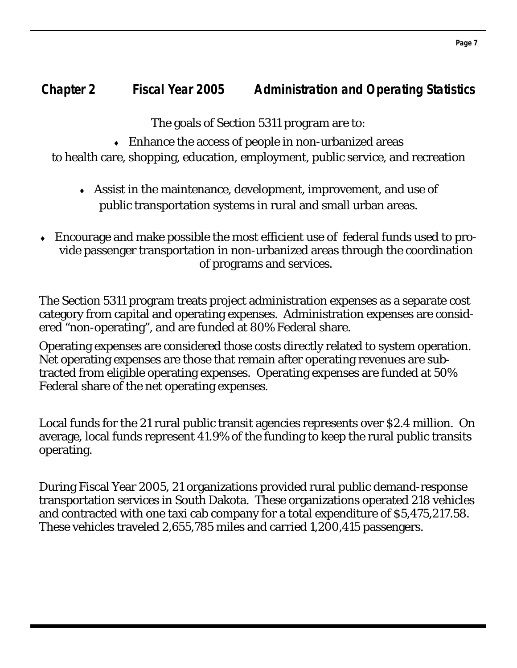## **Chapter 2 Fiscal Year 2005 Administration and Operating Statistics**

The goals of Section 5311 program are to:

 $\bullet$  Enhance the access of people in non-urbanized areas

to health care, shopping, education, employment, public service, and recreation

- ♦ Assist in the maintenance, development, improvement, and use of public transportation systems in rural and small urban areas.
- Encourage and make possible the most efficient use of federal funds used to provide passenger transportation in non-urbanized areas through the coordination of programs and services.

The Section 5311 program treats project administration expenses as a separate cost category from capital and operating expenses. Administration expenses are considered "non-operating", and are funded at 80% Federal share.

Operating expenses are considered those costs directly related to system operation. Net operating expenses are those that remain after operating revenues are subtracted from eligible operating expenses. Operating expenses are funded at 50% Federal share of the net operating expenses.

Local funds for the 21 rural public transit agencies represents over \$2.4 million. On average, local funds represent 41.9% of the funding to keep the rural public transits operating.

During Fiscal Year 2005, 21 organizations provided rural public demand-response transportation services in South Dakota. These organizations operated 218 vehicles and contracted with one taxi cab company for a total expenditure of \$5,475,217.58. These vehicles traveled 2,655,785 miles and carried 1,200,415 passengers.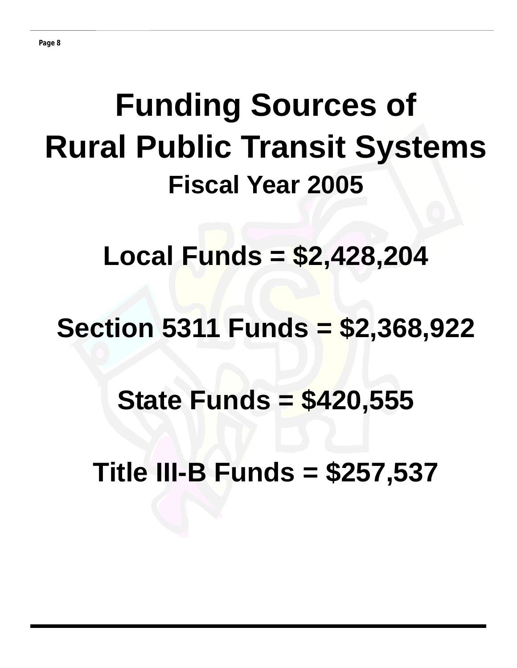# **Funding Sources of Rural Public Transit Systems Fiscal Year 2005**

**Local Funds = \$2,428,204** 

## **Section 5311 Funds = \$2,368,922**

## **State Funds = \$420,555**

**Title III-B Funds = \$257,537**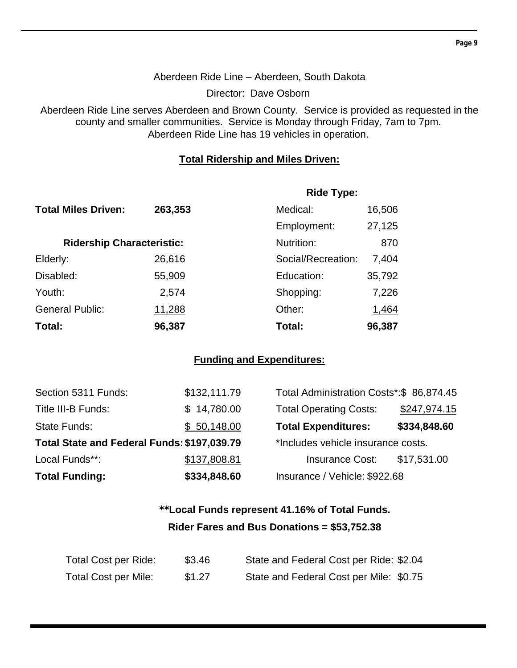## Aberdeen Ride Line – Aberdeen, South Dakota

Director: Dave Osborn

Aberdeen Ride Line serves Aberdeen and Brown County. Service is provided as requested in the county and smaller communities. Service is Monday through Friday, 7am to 7pm. Aberdeen Ride Line has 19 vehicles in operation.

## **Total Ridership and Miles Driven:**

|                                  |         | <b>Ride Type:</b>  |        |
|----------------------------------|---------|--------------------|--------|
| <b>Total Miles Driven:</b>       | 263,353 | Medical:           | 16,506 |
|                                  |         | Employment:        | 27,125 |
| <b>Ridership Characteristic:</b> |         | Nutrition:         | 870    |
| Elderly:                         | 26,616  | Social/Recreation: | 7,404  |
| Disabled:                        | 55,909  | Education:         | 35,792 |
| Youth:                           | 2,574   | Shopping:          | 7,226  |
| <b>General Public:</b>           | 11,288  | Other:             | 1,464  |
| Total:                           | 96,387  | Total:             | 96,387 |

## **Funding and Expenditures:**

| Section 5311 Funds:                         | \$132,111.79 | Total Administration Costs*: \$86,874.45 |              |
|---------------------------------------------|--------------|------------------------------------------|--------------|
| Title III-B Funds:                          | \$14,780.00  | <b>Total Operating Costs:</b>            | \$247,974.15 |
| State Funds:                                | \$50,148.00  | <b>Total Expenditures:</b>               | \$334,848.60 |
| Total State and Federal Funds: \$197,039.79 |              | *Includes vehicle insurance costs.       |              |
| Local Funds**:                              | \$137,808.81 | <b>Insurance Cost:</b>                   | \$17,531.00  |
| <b>Total Funding:</b>                       | \$334,848.60 | Insurance / Vehicle: \$922.68            |              |

## **\*\*Local Funds represent 41.16% of Total Funds. Rider Fares and Bus Donations = \$53,752.38**

| Total Cost per Ride:        | \$3.46 | State and Federal Cost per Ride: \$2.04 |
|-----------------------------|--------|-----------------------------------------|
| <b>Total Cost per Mile:</b> | \$1.27 | State and Federal Cost per Mile: \$0.75 |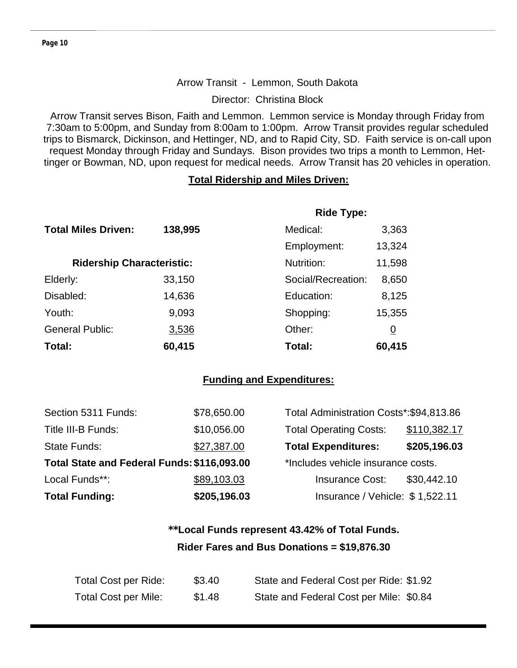#### Arrow Transit - Lemmon, South Dakota

Director: Christina Block

Arrow Transit serves Bison, Faith and Lemmon. Lemmon service is Monday through Friday from 7:30am to 5:00pm, and Sunday from 8:00am to 1:00pm. Arrow Transit provides regular scheduled trips to Bismarck, Dickinson, and Hettinger, ND, and to Rapid City, SD. Faith service is on-call upon request Monday through Friday and Sundays. Bison provides two trips a month to Lemmon, Hettinger or Bowman, ND, upon request for medical needs. Arrow Transit has 20 vehicles in operation.

#### **Total Ridership and Miles Driven:**

|                                  |         | <b>Ride Type:</b>  |          |
|----------------------------------|---------|--------------------|----------|
| <b>Total Miles Driven:</b>       | 138,995 | Medical:           | 3,363    |
|                                  |         | Employment:        | 13,324   |
| <b>Ridership Characteristic:</b> |         | Nutrition:         | 11,598   |
| Elderly:                         | 33,150  | Social/Recreation: | 8,650    |
| Disabled:                        | 14,636  | Education:         | 8,125    |
| Youth:                           | 9,093   | Shopping:          | 15,355   |
| <b>General Public:</b>           | 3,536   | Other:             | <u>0</u> |
| Total:                           | 60,415  | Total:             | 60,415   |

## **Funding and Expenditures:**

| Section 5311 Funds:                         | \$78,650.00                        | Total Administration Costs*: \$94,813.86 |              |
|---------------------------------------------|------------------------------------|------------------------------------------|--------------|
| Title III-B Funds:                          | \$10,056.00                        | <b>Total Operating Costs:</b>            | \$110,382.17 |
| <b>State Funds:</b>                         | \$27,387.00                        | <b>Total Expenditures:</b>               | \$205,196.03 |
| Total State and Federal Funds: \$116,093.00 | *Includes vehicle insurance costs. |                                          |              |
| Local Funds**:                              | \$89,103.03                        | <b>Insurance Cost:</b>                   | \$30,442.10  |
| <b>Total Funding:</b>                       | \$205,196.03                       | Insurance / Vehicle: \$1,522.11          |              |

## **\*\*Local Funds represent 43.42% of Total Funds. Rider Fares and Bus Donations = \$19,876.30**

| Total Cost per Ride:        | \$3.40 | State and Federal Cost per Ride: \$1.92 |
|-----------------------------|--------|-----------------------------------------|
| <b>Total Cost per Mile:</b> | \$1.48 | State and Federal Cost per Mile: \$0.84 |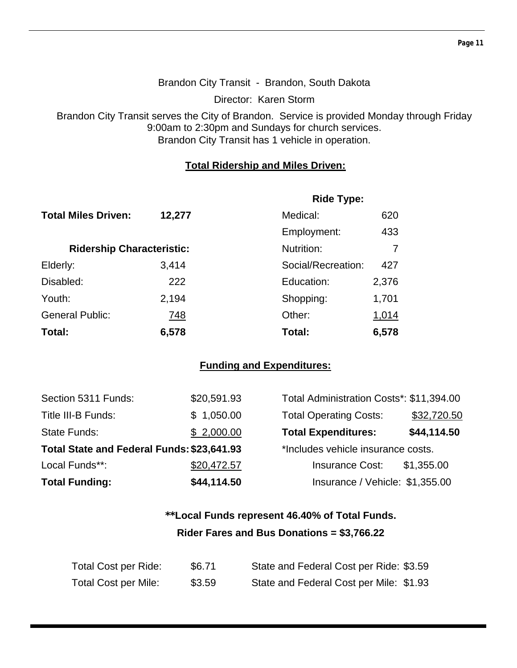## Brandon City Transit - Brandon, South Dakota

Director: Karen Storm

Brandon City Transit serves the City of Brandon. Service is provided Monday through Friday 9:00am to 2:30pm and Sundays for church services. Brandon City Transit has 1 vehicle in operation.

## **Total Ridership and Miles Driven:**

|                                  |        | <b>Ride Type:</b>  |       |
|----------------------------------|--------|--------------------|-------|
| <b>Total Miles Driven:</b>       | 12,277 | Medical:           | 620   |
|                                  |        | Employment:        | 433   |
| <b>Ridership Characteristic:</b> |        | Nutrition:         |       |
| Elderly:                         | 3,414  | Social/Recreation: | 427   |
| Disabled:                        | 222    | Education:         | 2,376 |
| Youth:                           | 2,194  | Shopping:          | 1,701 |
| <b>General Public:</b>           | 748    | Other:             | 1,014 |
| Total:                           | 6,578  | Total:             | 6,578 |

## **Funding and Expenditures:**

| Section 5311 Funds:                        | \$20,591.93 | Total Administration Costs*: \$11,394.00 |             |
|--------------------------------------------|-------------|------------------------------------------|-------------|
| Title III-B Funds:                         | \$1,050.00  | <b>Total Operating Costs:</b>            | \$32,720.50 |
| State Funds:                               | \$2,000.00  | <b>Total Expenditures:</b>               | \$44,114.50 |
| Total State and Federal Funds: \$23,641.93 |             | *Includes vehicle insurance costs.       |             |
| Local Funds**:                             | \$20,472.57 | <b>Insurance Cost:</b>                   | \$1,355.00  |
| <b>Total Funding:</b>                      | \$44,114.50 | Insurance / Vehicle: \$1,355.00          |             |

## **\*\*Local Funds represent 46.40% of Total Funds. Rider Fares and Bus Donations = \$3,766.22**

| Total Cost per Ride:        | \$6.71 | State and Federal Cost per Ride: \$3.59 |
|-----------------------------|--------|-----------------------------------------|
| <b>Total Cost per Mile:</b> | \$3.59 | State and Federal Cost per Mile: \$1.93 |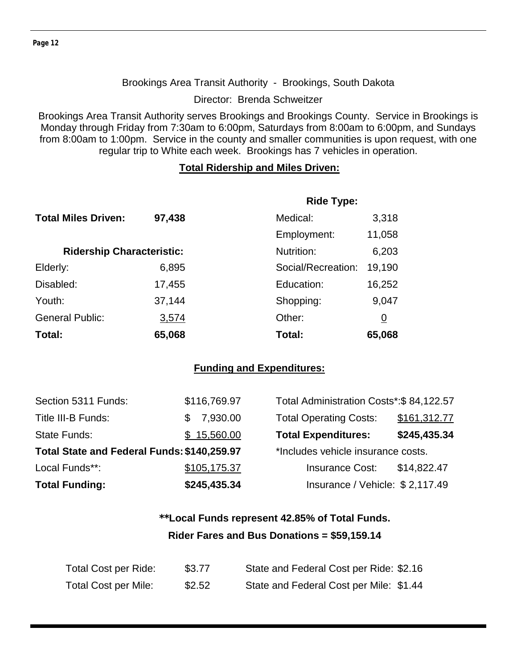#### Brookings Area Transit Authority - Brookings, South Dakota

Director: Brenda Schweitzer

Brookings Area Transit Authority serves Brookings and Brookings County. Service in Brookings is Monday through Friday from 7:30am to 6:00pm, Saturdays from 8:00am to 6:00pm, and Sundays from 8:00am to 1:00pm. Service in the county and smaller communities is upon request, with one regular trip to White each week. Brookings has 7 vehicles in operation.

#### **Total Ridership and Miles Driven:**

|                                  |        | <b>Ride Type:</b>  |          |
|----------------------------------|--------|--------------------|----------|
| <b>Total Miles Driven:</b>       | 97,438 | Medical:           | 3,318    |
|                                  |        | Employment:        | 11,058   |
| <b>Ridership Characteristic:</b> |        | Nutrition:         | 6,203    |
| Elderly:                         | 6,895  | Social/Recreation: | 19,190   |
| Disabled:                        | 17,455 | Education:         | 16,252   |
| Youth:                           | 37,144 | Shopping:          | 9,047    |
| <b>General Public:</b>           | 3,574  | Other:             | <u>0</u> |
| Total:                           | 65,068 | Total:             | 65,068   |

#### **Funding and Expenditures:**

| Section 5311 Funds:                         | \$116,769.97 | Total Administration Costs*: \$84,122.57 |              |
|---------------------------------------------|--------------|------------------------------------------|--------------|
| Title III-B Funds:                          | 7,930.00     | <b>Total Operating Costs:</b>            | \$161,312.77 |
| <b>State Funds:</b>                         | \$15,560.00  | <b>Total Expenditures:</b>               | \$245,435.34 |
| Total State and Federal Funds: \$140,259.97 |              | *Includes vehicle insurance costs.       |              |
| Local Funds**:                              | \$105,175.37 | <b>Insurance Cost:</b>                   | \$14,822.47  |
| <b>Total Funding:</b>                       | \$245,435.34 | Insurance / Vehicle: \$2,117.49          |              |

## **\*\*Local Funds represent 42.85% of Total Funds. Rider Fares and Bus Donations = \$59,159.14**

| Total Cost per Ride:        | \$3.77 | State and Federal Cost per Ride: \$2.16 |
|-----------------------------|--------|-----------------------------------------|
| <b>Total Cost per Mile:</b> | \$2.52 | State and Federal Cost per Mile: \$1.44 |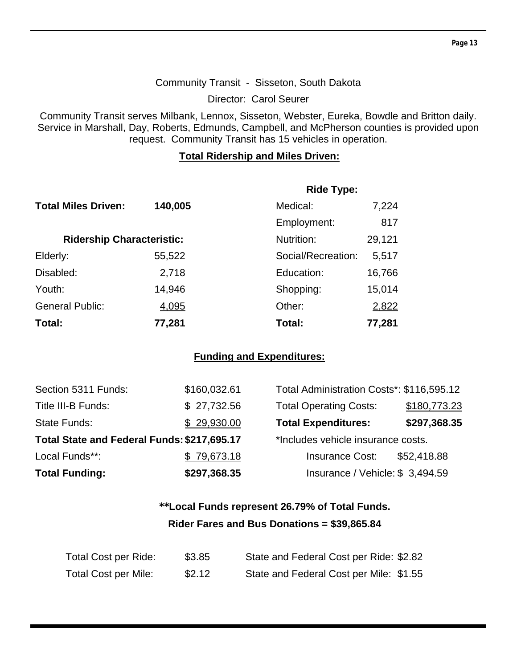## Community Transit - Sisseton, South Dakota

Director: Carol Seurer

Community Transit serves Milbank, Lennox, Sisseton, Webster, Eureka, Bowdle and Britton daily. Service in Marshall, Day, Roberts, Edmunds, Campbell, and McPherson counties is provided upon request. Community Transit has 15 vehicles in operation.

## **Total Ridership and Miles Driven:**

|                                  |         | <b>Ride Type:</b>  |        |
|----------------------------------|---------|--------------------|--------|
| <b>Total Miles Driven:</b>       | 140,005 | Medical:           | 7,224  |
|                                  |         | Employment:        | 817    |
| <b>Ridership Characteristic:</b> |         | Nutrition:         | 29,121 |
| Elderly:                         | 55,522  | Social/Recreation: | 5,517  |
| Disabled:                        | 2,718   | Education:         | 16,766 |
| Youth:                           | 14,946  | Shopping:          | 15,014 |
| <b>General Public:</b>           | 4,095   | Other:             | 2,822  |
| Total:                           | 77,281  | Total:             | 77,281 |

## **Funding and Expenditures:**

| Section 5311 Funds:                         | \$160,032.61 | Total Administration Costs*: \$116,595.12 |              |
|---------------------------------------------|--------------|-------------------------------------------|--------------|
| Title III-B Funds:                          | \$27,732.56  | <b>Total Operating Costs:</b>             | \$180,773.23 |
| State Funds:                                | \$29,930.00  | <b>Total Expenditures:</b>                | \$297,368.35 |
| Total State and Federal Funds: \$217,695.17 |              | *Includes vehicle insurance costs.        |              |
| Local Funds**:                              | \$79,673.18  | <b>Insurance Cost:</b>                    | \$52,418.88  |
| <b>Total Funding:</b>                       | \$297,368.35 | Insurance / Vehicle: \$3,494.59           |              |

## **\*\*Local Funds represent 26.79% of Total Funds. Rider Fares and Bus Donations = \$39,865.84**

| Total Cost per Ride:        | \$3.85 | State and Federal Cost per Ride: \$2.82 |
|-----------------------------|--------|-----------------------------------------|
| <b>Total Cost per Mile:</b> | \$2.12 | State and Federal Cost per Mile: \$1.55 |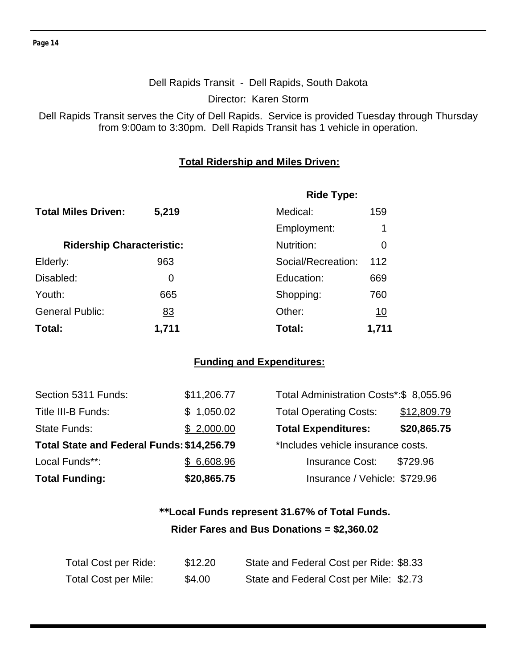## Dell Rapids Transit - Dell Rapids, South Dakota

Director: Karen Storm

Dell Rapids Transit serves the City of Dell Rapids. Service is provided Tuesday through Thursday from 9:00am to 3:30pm. Dell Rapids Transit has 1 vehicle in operation.

## **Total Ridership and Miles Driven:**

|                                  |           | <b>Ride Type:</b>  |           |
|----------------------------------|-----------|--------------------|-----------|
| <b>Total Miles Driven:</b>       | 5,219     | Medical:           | 159       |
|                                  |           | Employment:        | 1         |
| <b>Ridership Characteristic:</b> |           | Nutrition:         | 0         |
| Elderly:                         | 963       | Social/Recreation: | 112       |
| Disabled:                        | 0         | Education:         | 669       |
| Youth:                           | 665       | Shopping:          | 760       |
| <b>General Public:</b>           | <u>83</u> | Other:             | <u>10</u> |
| Total:                           | 1,711     | Total:             | 1,711     |

## **Funding and Expenditures:**

| <b>Total Funding:</b>                      | \$20,865.75 | Insurance / Vehicle: \$729.96           |             |
|--------------------------------------------|-------------|-----------------------------------------|-------------|
| Local Funds**:                             | \$6,608.96  | <b>Insurance Cost:</b>                  | \$729.96    |
| Total State and Federal Funds: \$14,256.79 |             | *Includes vehicle insurance costs.      |             |
| <b>State Funds:</b>                        | \$2,000.00  | <b>Total Expenditures:</b>              | \$20,865.75 |
| Title III-B Funds:                         | \$1,050.02  | <b>Total Operating Costs:</b>           | \$12,809.79 |
| Section 5311 Funds:                        | \$11,206.77 | Total Administration Costs*:\$ 8,055.96 |             |

| Total Administration Costs*:\$ 8,055.96 |             |
|-----------------------------------------|-------------|
| <b>Total Operating Costs:</b>           | \$12,809.79 |
| <b>Total Expenditures:</b>              | \$20,865.75 |
| *Includes vehicle insurance costs.      |             |
| <b>Insurance Cost:</b>                  | \$729.96    |
| Insurance / Vehicle: \$729.96           |             |

## **\*\*Local Funds represent 31.67% of Total Funds. Rider Fares and Bus Donations = \$2,360.02**

| Total Cost per Ride: | \$12.20 | State and Federal Cost per Ride: \$8.33 |  |
|----------------------|---------|-----------------------------------------|--|
| Total Cost per Mile: | \$4.00  | State and Federal Cost per Mile: \$2.73 |  |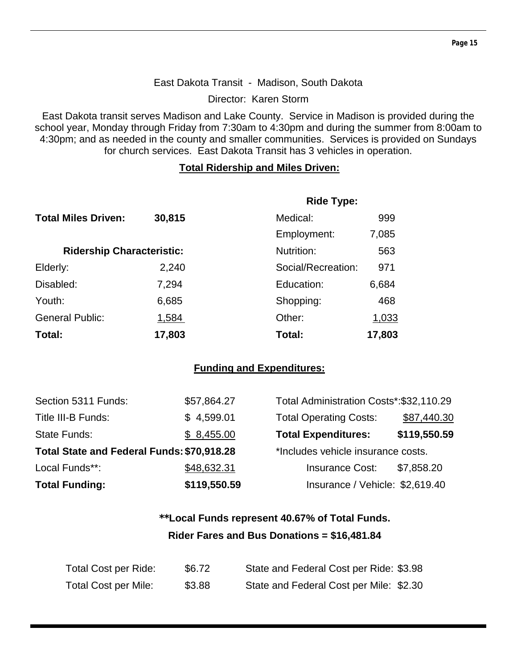## East Dakota Transit - Madison, South Dakota

Director: Karen Storm

East Dakota transit serves Madison and Lake County. Service in Madison is provided during the school year, Monday through Friday from 7:30am to 4:30pm and during the summer from 8:00am to 4:30pm; and as needed in the county and smaller communities. Services is provided on Sundays for church services. East Dakota Transit has 3 vehicles in operation.

## **Total Ridership and Miles Driven:**

|                                  |        | <b>Ride Type:</b>  |        |
|----------------------------------|--------|--------------------|--------|
| <b>Total Miles Driven:</b>       | 30,815 | Medical:           | 999    |
|                                  |        | Employment:        | 7,085  |
| <b>Ridership Characteristic:</b> |        | Nutrition:         | 563    |
| Elderly:                         | 2,240  | Social/Recreation: | 971    |
| Disabled:                        | 7,294  | Education:         | 6,684  |
| Youth:                           | 6,685  | Shopping:          | 468    |
| <b>General Public:</b>           | 1,584  | Other:             | 1,033  |
| Total:                           | 17,803 | Total:             | 17,803 |

## **Funding and Expenditures:**

| Section 5311 Funds:                        | \$57,864.27  | Total Administration Costs*: \$32,110.29 |              |
|--------------------------------------------|--------------|------------------------------------------|--------------|
| Title III-B Funds:                         | \$4,599.01   | <b>Total Operating Costs:</b>            | \$87,440.30  |
| <b>State Funds:</b>                        | \$8,455.00   | <b>Total Expenditures:</b>               | \$119,550.59 |
| Total State and Federal Funds: \$70,918.28 |              | *Includes vehicle insurance costs.       |              |
| Local Funds**:                             | \$48,632.31  | <b>Insurance Cost:</b>                   | \$7,858.20   |
| <b>Total Funding:</b>                      | \$119,550.59 | Insurance / Vehicle: \$2,619.40          |              |

## **\*\*Local Funds represent 40.67% of Total Funds. Rider Fares and Bus Donations = \$16,481.84**

| Total Cost per Ride: | \$6.72 | State and Federal Cost per Ride: \$3.98 |
|----------------------|--------|-----------------------------------------|
| Total Cost per Mile: | \$3.88 | State and Federal Cost per Mile: \$2.30 |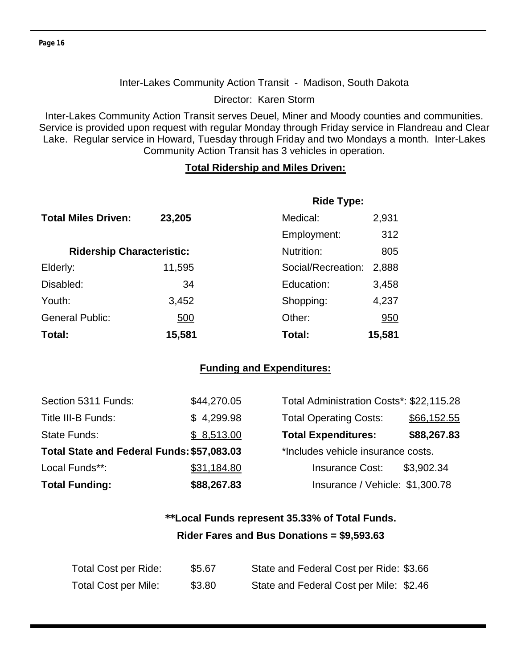#### Inter-Lakes Community Action Transit - Madison, South Dakota

Director: Karen Storm

Inter-Lakes Community Action Transit serves Deuel, Miner and Moody counties and communities. Service is provided upon request with regular Monday through Friday service in Flandreau and Clear Lake. Regular service in Howard, Tuesday through Friday and two Mondays a month. Inter-Lakes Community Action Transit has 3 vehicles in operation.

#### **Total Ridership and Miles Driven:**

|                                  |        | <b>Ride Type:</b>  |        |
|----------------------------------|--------|--------------------|--------|
| <b>Total Miles Driven:</b>       | 23,205 | Medical:           | 2,931  |
|                                  |        | Employment:        | 312    |
| <b>Ridership Characteristic:</b> |        | Nutrition:         | 805    |
| Elderly:                         | 11,595 | Social/Recreation: | 2,888  |
| Disabled:                        | 34     | Education:         | 3,458  |
| Youth:                           | 3,452  | Shopping:          | 4,237  |
| <b>General Public:</b>           | 500    | Other:             | 950    |
| Total:                           | 15,581 | Total:             | 15,581 |

#### **Funding and Expenditures:**

| <b>Total Funding:</b>                      | \$88,267.83 | Insurance / Vehicle: \$1,300.78          |             |
|--------------------------------------------|-------------|------------------------------------------|-------------|
| Local Funds**:                             | \$31,184.80 | <b>Insurance Cost:</b>                   | \$3,902.34  |
| Total State and Federal Funds: \$57,083.03 |             | *Includes vehicle insurance costs.       |             |
| State Funds:                               | \$8,513.00  | <b>Total Expenditures:</b>               | \$88,267.83 |
| Title III-B Funds:                         | \$4,299.98  | <b>Total Operating Costs:</b>            | \$66,152.55 |
| Section 5311 Funds:                        | \$44,270.05 | Total Administration Costs*: \$22,115.28 |             |

## **\*\*Local Funds represent 35.33% of Total Funds. Rider Fares and Bus Donations = \$9,593.63**

| Total Cost per Ride:        | \$5.67 | State and Federal Cost per Ride: \$3.66 |
|-----------------------------|--------|-----------------------------------------|
| <b>Total Cost per Mile:</b> | \$3.80 | State and Federal Cost per Mile: \$2.46 |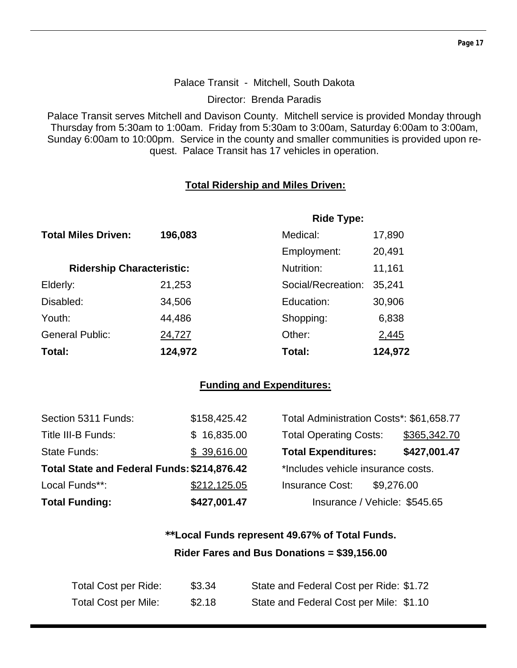#### Palace Transit - Mitchell, South Dakota

Director: Brenda Paradis

Palace Transit serves Mitchell and Davison County. Mitchell service is provided Monday through Thursday from 5:30am to 1:00am. Friday from 5:30am to 3:00am, Saturday 6:00am to 3:00am, Sunday 6:00am to 10:00pm. Service in the county and smaller communities is provided upon request. Palace Transit has 17 vehicles in operation.

## **Total Ridership and Miles Driven:**

|                                  |         | <b>Ride Type:</b>  |         |
|----------------------------------|---------|--------------------|---------|
| <b>Total Miles Driven:</b>       | 196,083 | Medical:           | 17,890  |
|                                  |         | Employment:        | 20,491  |
| <b>Ridership Characteristic:</b> |         | Nutrition:         | 11,161  |
| Elderly:                         | 21,253  | Social/Recreation: | 35,241  |
| Disabled:                        | 34,506  | Education:         | 30,906  |
| Youth:                           | 44,486  | Shopping:          | 6,838   |
| <b>General Public:</b>           | 24,727  | Other:             | 2,445   |
| Total:                           | 124,972 | Total:             | 124,972 |

## **Funding and Expenditures:**

| Total State and Federal Funds: \$214,876.42 |              | *Includes vehicle insurance costs. |            |
|---------------------------------------------|--------------|------------------------------------|------------|
| Local Funds**:                              | \$212,125.05 | <b>Insurance Cost:</b>             | \$9,276.00 |
| <b>Total Funding:</b>                       | \$427,001.47 | Insurance / Vehicle: \$545.65      |            |

## **\*\*Local Funds represent 49.67% of Total Funds. Rider Fares and Bus Donations = \$39,156.00**

| Total Cost per Ride:        | \$3.34 | State and Federal Cost per Ride: \$1.72 |
|-----------------------------|--------|-----------------------------------------|
| <b>Total Cost per Mile:</b> | \$2.18 | State and Federal Cost per Mile: \$1.10 |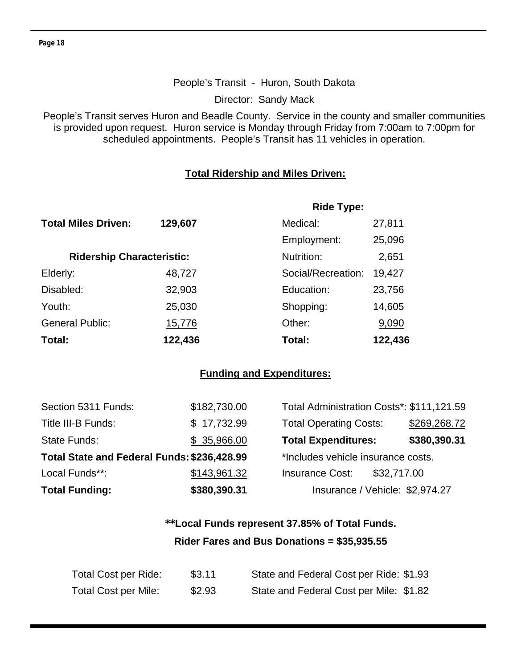## People's Transit - Huron, South Dakota

Director: Sandy Mack

People's Transit serves Huron and Beadle County. Service in the county and smaller communities is provided upon request. Huron service is Monday through Friday from 7:00am to 7:00pm for scheduled appointments. People's Transit has 11 vehicles in operation.

## **Total Ridership and Miles Driven:**

|                                  |         | <b>Ride Type:</b>  |         |
|----------------------------------|---------|--------------------|---------|
| <b>Total Miles Driven:</b>       | 129,607 | Medical:           | 27,811  |
|                                  |         | Employment:        | 25,096  |
| <b>Ridership Characteristic:</b> |         | Nutrition:         | 2,651   |
| Elderly:                         | 48,727  | Social/Recreation: | 19,427  |
| Disabled:                        | 32,903  | Education:         | 23,756  |
| Youth:                           | 25,030  | Shopping:          | 14,605  |
| <b>General Public:</b>           | 15,776  | Other:             | 9,090   |
| Total:                           | 122,436 | Total:             | 122,436 |

## **Funding and Expenditures:**

| <b>Total Funding:</b>                       | \$380,390.31 | Insurance / Vehicle: \$2,974.27           |              |
|---------------------------------------------|--------------|-------------------------------------------|--------------|
| Local Funds**:                              | \$143,961.32 | <b>Insurance Cost:</b><br>\$32,717.00     |              |
| Total State and Federal Funds: \$236,428.99 |              | *Includes vehicle insurance costs.        |              |
| State Funds:                                | \$35,966.00  | <b>Total Expenditures:</b>                | \$380,390.31 |
| Title III-B Funds:                          | \$17,732.99  | <b>Total Operating Costs:</b>             | \$269,268.72 |
| Section 5311 Funds:                         | \$182,730.00 | Total Administration Costs*: \$111,121.59 |              |

## **\*\*Local Funds represent 37.85% of Total Funds. Rider Fares and Bus Donations = \$35,935.55**

| Total Cost per Ride:        | \$3.11 | State and Federal Cost per Ride: \$1.93 |
|-----------------------------|--------|-----------------------------------------|
| <b>Total Cost per Mile:</b> | \$2.93 | State and Federal Cost per Mile: \$1.82 |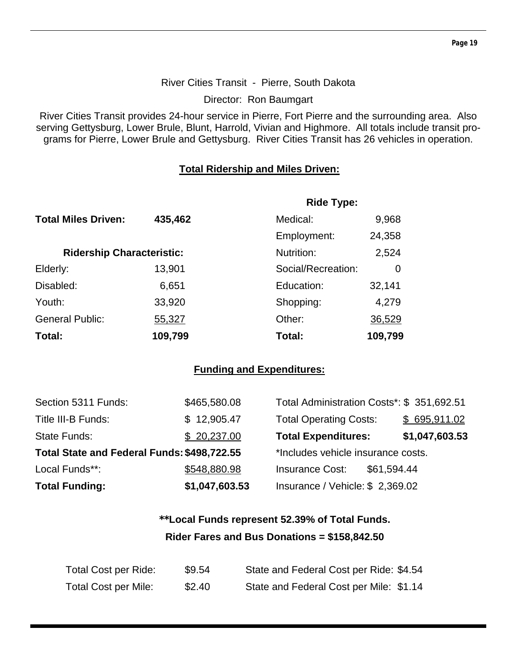## River Cities Transit - Pierre, South Dakota

Director: Ron Baumgart

River Cities Transit provides 24-hour service in Pierre, Fort Pierre and the surrounding area. Also serving Gettysburg, Lower Brule, Blunt, Harrold, Vivian and Highmore. All totals include transit programs for Pierre, Lower Brule and Gettysburg. River Cities Transit has 26 vehicles in operation.

## **Total Ridership and Miles Driven:**

|                                  |         | <b>Ride Type:</b>  |         |
|----------------------------------|---------|--------------------|---------|
| <b>Total Miles Driven:</b>       | 435,462 | Medical:           | 9,968   |
|                                  |         | Employment:        | 24,358  |
| <b>Ridership Characteristic:</b> |         | Nutrition:         | 2,524   |
| Elderly:                         | 13,901  | Social/Recreation: | 0       |
| Disabled:                        | 6,651   | Education:         | 32,141  |
| Youth:                           | 33,920  | Shopping:          | 4,279   |
| <b>General Public:</b>           | 55,327  | Other:             | 36,529  |
| Total:                           | 109,799 | Total:             | 109,799 |

## **Funding and Expenditures:**

| Section 5311 Funds:                         | \$465,580.08   | Total Administration Costs*: \$ 351,692.51 |                |
|---------------------------------------------|----------------|--------------------------------------------|----------------|
| Title III-B Funds:                          | \$12,905.47    | <b>Total Operating Costs:</b>              | \$695,911.02   |
| <b>State Funds:</b>                         | \$20,237.00    | <b>Total Expenditures:</b>                 | \$1,047,603.53 |
| Total State and Federal Funds: \$498,722.55 |                | *Includes vehicle insurance costs.         |                |
| Local Funds**:                              | \$548,880.98   | <b>Insurance Cost:</b><br>\$61,594.44      |                |
| <b>Total Funding:</b>                       | \$1,047,603.53 | Insurance / Vehicle: $$2,369.02$           |                |

## **\*\*Local Funds represent 52.39% of Total Funds. Rider Fares and Bus Donations = \$158,842.50**

| Total Cost per Ride:        | \$9.54 | State and Federal Cost per Ride: \$4.54 |
|-----------------------------|--------|-----------------------------------------|
| <b>Total Cost per Mile:</b> | \$2.40 | State and Federal Cost per Mile: \$1.14 |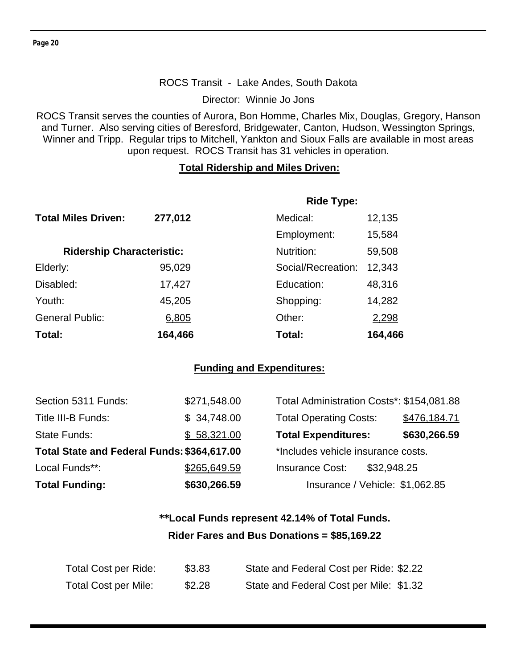#### ROCS Transit - Lake Andes, South Dakota

Director: Winnie Jo Jons

ROCS Transit serves the counties of Aurora, Bon Homme, Charles Mix, Douglas, Gregory, Hanson and Turner. Also serving cities of Beresford, Bridgewater, Canton, Hudson, Wessington Springs, Winner and Tripp. Regular trips to Mitchell, Yankton and Sioux Falls are available in most areas upon request. ROCS Transit has 31 vehicles in operation.

#### **Total Ridership and Miles Driven:**

|                                  |         | <b>Ride Type:</b>  |         |
|----------------------------------|---------|--------------------|---------|
| <b>Total Miles Driven:</b>       | 277,012 | Medical:           | 12,135  |
|                                  |         | Employment:        | 15,584  |
| <b>Ridership Characteristic:</b> |         | Nutrition:         | 59,508  |
| Elderly:                         | 95,029  | Social/Recreation: | 12,343  |
| Disabled:                        | 17,427  | Education:         | 48,316  |
| Youth:                           | 45,205  | Shopping:          | 14,282  |
| <b>General Public:</b>           | 6,805   | Other:             | 2,298   |
| Total:                           | 164,466 | Total:             | 164,466 |

## **Funding and Expenditures:**

| Section 5311 Funds:                         | \$271,548.00 | Total Administration Costs*: \$154,081.88 |              |
|---------------------------------------------|--------------|-------------------------------------------|--------------|
| Title III-B Funds:                          | \$34,748.00  | <b>Total Operating Costs:</b>             | \$476,184.71 |
| State Funds:                                | \$58,321.00  | <b>Total Expenditures:</b>                | \$630,266.59 |
| Total State and Federal Funds: \$364,617.00 |              | *Includes vehicle insurance costs.        |              |
| Local Funds**:                              | \$265,649.59 | <b>Insurance Cost:</b><br>\$32,948.25     |              |
| <b>Total Funding:</b>                       | \$630,266.59 | Insurance / Vehicle: \$1,062.85           |              |

## **\*\*Local Funds represent 42.14% of Total Funds. Rider Fares and Bus Donations = \$85,169.22**

| Total Cost per Ride:        | \$3.83 | State and Federal Cost per Ride: \$2.22 |
|-----------------------------|--------|-----------------------------------------|
| <b>Total Cost per Mile:</b> | \$2.28 | State and Federal Cost per Mile: \$1.32 |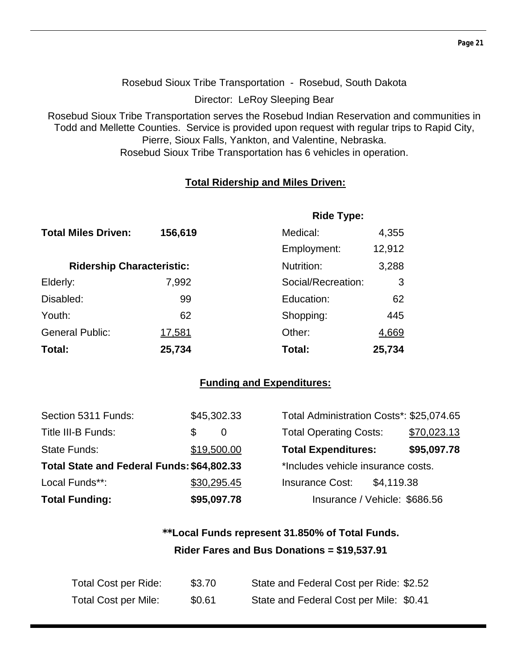Rosebud Sioux Tribe Transportation - Rosebud, South Dakota

Director: LeRoy Sleeping Bear

Rosebud Sioux Tribe Transportation serves the Rosebud Indian Reservation and communities in Todd and Mellette Counties. Service is provided upon request with regular trips to Rapid City, Pierre, Sioux Falls, Yankton, and Valentine, Nebraska. Rosebud Sioux Tribe Transportation has 6 vehicles in operation.

## **Total Ridership and Miles Driven:**

|                                  |         | <b>Ride Type:</b>  |        |  |
|----------------------------------|---------|--------------------|--------|--|
| <b>Total Miles Driven:</b>       | 156,619 | Medical:           | 4,355  |  |
|                                  |         | Employment:        | 12,912 |  |
| <b>Ridership Characteristic:</b> |         | Nutrition:         | 3,288  |  |
| Elderly:                         | 7,992   | Social/Recreation: | 3      |  |
| Disabled:                        | 99      | Education:         | 62     |  |
| Youth:                           | 62      | Shopping:          | 445    |  |
| <b>General Public:</b>           | 17,581  | Other:             | 4,669  |  |
| Total:                           | 25,734  | Total:             | 25,734 |  |

## **Funding and Expenditures:**

| Section 5311 Funds:                        | \$45,302.33 | Total Administration Costs*: \$25,074.65 |            |             |
|--------------------------------------------|-------------|------------------------------------------|------------|-------------|
| Title III-B Funds:                         | S<br>0      | <b>Total Operating Costs:</b>            |            | \$70,023.13 |
| State Funds:                               | \$19,500.00 | <b>Total Expenditures:</b>               |            | \$95,097.78 |
| Total State and Federal Funds: \$64,802.33 |             | *Includes vehicle insurance costs.       |            |             |
| Local Funds**:                             | \$30,295.45 | <b>Insurance Cost:</b>                   | \$4,119.38 |             |
| <b>Total Funding:</b>                      | \$95,097.78 | Insurance / Vehicle: \$686.56            |            |             |

## **\*\*Local Funds represent 31.850% of Total Funds. Rider Fares and Bus Donations = \$19,537.91**

| Total Cost per Ride:        | \$3.70 | State and Federal Cost per Ride: \$2.52 |
|-----------------------------|--------|-----------------------------------------|
| <b>Total Cost per Mile:</b> | \$0.61 | State and Federal Cost per Mile: \$0.41 |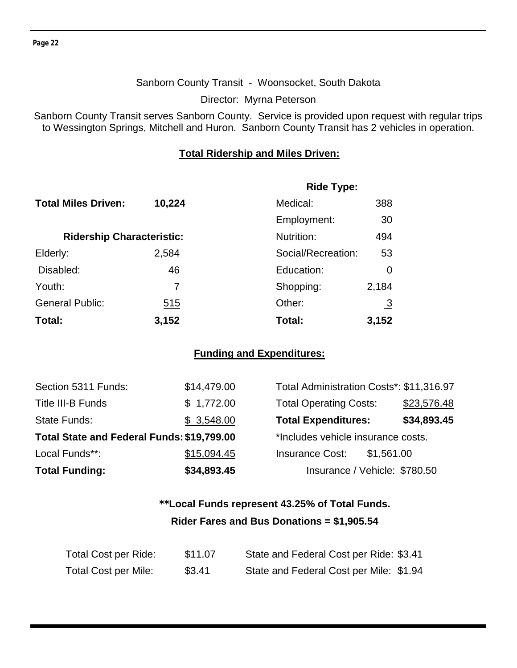#### Sanborn County Transit - Woonsocket, South Dakota

Director: Myrna Peterson

Sanborn County Transit serves Sanborn County. Service is provided upon request with regular trips to Wessington Springs, Mitchell and Huron. Sanborn County Transit has 2 vehicles in operation.

#### **Total Ridership and Miles Driven:**

|                                  |        | <b>Ride Type:</b>  |                |  |  |
|----------------------------------|--------|--------------------|----------------|--|--|
| <b>Total Miles Driven:</b>       | 10,224 | Medical:           | 388            |  |  |
|                                  |        | Employment:        | 30             |  |  |
| <b>Ridership Characteristic:</b> |        | Nutrition:         | 494            |  |  |
| Elderly:                         | 2,584  | Social/Recreation: | 53             |  |  |
| Disabled:                        | 46     | Education:         | 0              |  |  |
| Youth:                           | 7      | Shopping:          | 2,184          |  |  |
| <b>General Public:</b>           | 515    | Other:             | $\overline{3}$ |  |  |
| Total:                           | 3,152  | Total:             | 3,152          |  |  |

## **Funding and Expenditures:**

| Section 5311 Funds:                        | \$14,479.00 | Total Administration Costs*: \$11,316.97 |             |
|--------------------------------------------|-------------|------------------------------------------|-------------|
| Title III-B Funds                          | \$1,772.00  | <b>Total Operating Costs:</b>            | \$23,576.48 |
| State Funds:                               | \$3,548.00  | <b>Total Expenditures:</b>               | \$34,893.45 |
| Total State and Federal Funds: \$19,799.00 |             | *Includes vehicle insurance costs.       |             |
| Local Funds**:                             | \$15,094.45 | <b>Insurance Cost:</b><br>\$1,561.00     |             |
| <b>Total Funding:</b>                      | \$34,893.45 | Insurance / Vehicle: \$780.50            |             |

## **\*\*Local Funds represent 43.25% of Total Funds. Rider Fares and Bus Donations = \$1,905.54**

| Total Cost per Ride:        | \$11.07 | State and Federal Cost per Ride: \$3.41 |  |
|-----------------------------|---------|-----------------------------------------|--|
| <b>Total Cost per Mile:</b> | \$3.41  | State and Federal Cost per Mile: \$1.94 |  |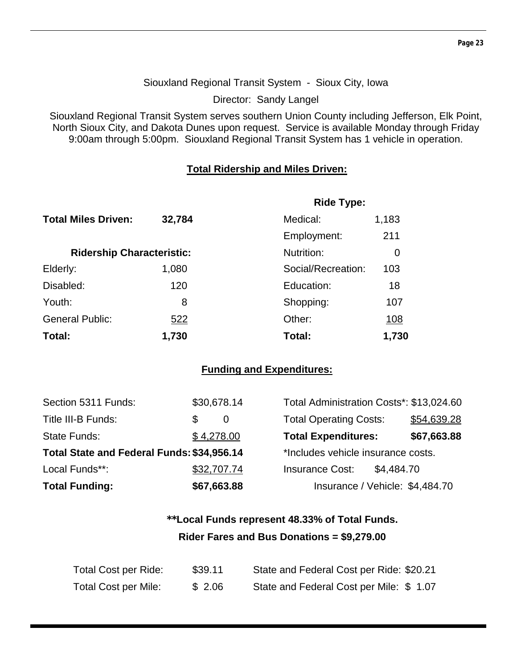#### Siouxland Regional Transit System - Sioux City, Iowa

Director: Sandy Langel

Siouxland Regional Transit System serves southern Union County including Jefferson, Elk Point, North Sioux City, and Dakota Dunes upon request. Service is available Monday through Friday 9:00am through 5:00pm. Siouxland Regional Transit System has 1 vehicle in operation.

## **Total Ridership and Miles Driven:**

|                                  |        | <b>Ride Type:</b>  |             |
|----------------------------------|--------|--------------------|-------------|
| <b>Total Miles Driven:</b>       | 32,784 | Medical:           | 1,183       |
|                                  |        | Employment:        | 211         |
| <b>Ridership Characteristic:</b> |        | Nutrition:         | 0           |
| Elderly:                         | 1,080  | Social/Recreation: | 103         |
| Disabled:                        | 120    | Education:         | 18          |
| Youth:                           | 8      | Shopping:          | 107         |
| <b>General Public:</b>           | 522    | Other:             | <u> 108</u> |
| Total:                           | 1,730  | Total:             | 1,730       |

## **Funding and Expenditures:**

| Section 5311 Funds:                        | \$30,678.14     | Total Administration Costs*: \$13,024.60 |            |             |
|--------------------------------------------|-----------------|------------------------------------------|------------|-------------|
| Title III-B Funds:                         | \$.<br>$\theta$ | <b>Total Operating Costs:</b>            |            | \$54,639.28 |
| State Funds:                               | \$4,278.00      | <b>Total Expenditures:</b>               |            | \$67,663.88 |
| Total State and Federal Funds: \$34,956.14 |                 | *Includes vehicle insurance costs.       |            |             |
| Local Funds**:                             | \$32,707.74     | <b>Insurance Cost:</b>                   | \$4,484.70 |             |
| <b>Total Funding:</b>                      | \$67,663.88     | Insurance / Vehicle: \$4,484.70          |            |             |

## **\*\*Local Funds represent 48.33% of Total Funds. Rider Fares and Bus Donations = \$9,279.00**

| Total Cost per Ride: | \$39.11 | State and Federal Cost per Ride: \$20.21 |
|----------------------|---------|------------------------------------------|
| Total Cost per Mile: | \$2.06  | State and Federal Cost per Mile: \$1.07  |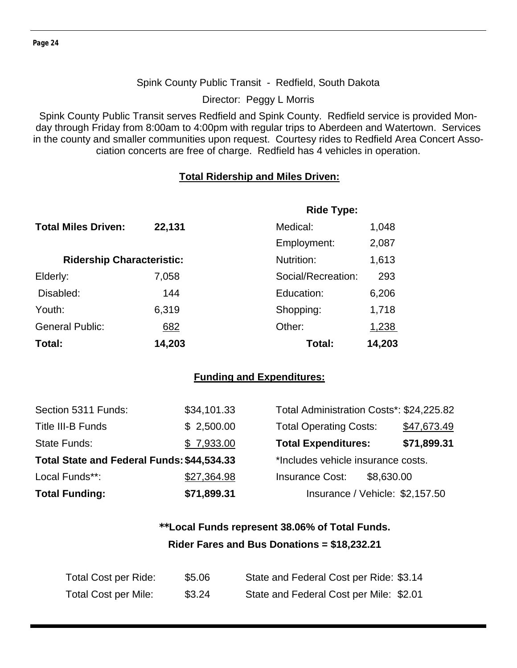#### Spink County Public Transit - Redfield, South Dakota

Director: Peggy L Morris

Spink County Public Transit serves Redfield and Spink County. Redfield service is provided Monday through Friday from 8:00am to 4:00pm with regular trips to Aberdeen and Watertown. Services in the county and smaller communities upon request. Courtesy rides to Redfield Area Concert Association concerts are free of charge. Redfield has 4 vehicles in operation.

#### **Total Ridership and Miles Driven:**

|                                  |        | <b>Ride Type:</b>  |              |  |
|----------------------------------|--------|--------------------|--------------|--|
| <b>Total Miles Driven:</b>       | 22,131 | Medical:           | 1,048        |  |
|                                  |        | Employment:        | 2,087        |  |
| <b>Ridership Characteristic:</b> |        | Nutrition:         | 1,613        |  |
| Elderly:                         | 7,058  | Social/Recreation: | 293          |  |
| Disabled:                        | 144    | Education:         | 6,206        |  |
| Youth:                           | 6,319  | Shopping:          | 1,718        |  |
| <b>General Public:</b>           | 682    | Other:             | <u>1,238</u> |  |
| Total:                           | 14,203 | Total:             | 14,203       |  |

#### **Funding and Expenditures:**

| Section 5311 Funds:                        | \$34,101.33 | Total Administration Costs*: \$24,225.82 |             |
|--------------------------------------------|-------------|------------------------------------------|-------------|
| Title III-B Funds                          | \$2,500.00  | <b>Total Operating Costs:</b>            | \$47,673.49 |
| <b>State Funds:</b>                        | \$7,933.00  | <b>Total Expenditures:</b>               | \$71,899.31 |
| Total State and Federal Funds: \$44,534.33 |             | *Includes vehicle insurance costs.       |             |
| Local Funds**:                             | \$27,364.98 | <b>Insurance Cost:</b><br>\$8,630.00     |             |
| <b>Total Funding:</b>                      | \$71,899.31 | Insurance / Vehicle: \$2,157.50          |             |

## **\*\*Local Funds represent 38.06% of Total Funds. Rider Fares and Bus Donations = \$18,232.21**

| Total Cost per Ride:        | \$5.06 | State and Federal Cost per Ride: \$3.14 |
|-----------------------------|--------|-----------------------------------------|
| <b>Total Cost per Mile:</b> | \$3.24 | State and Federal Cost per Mile: \$2.01 |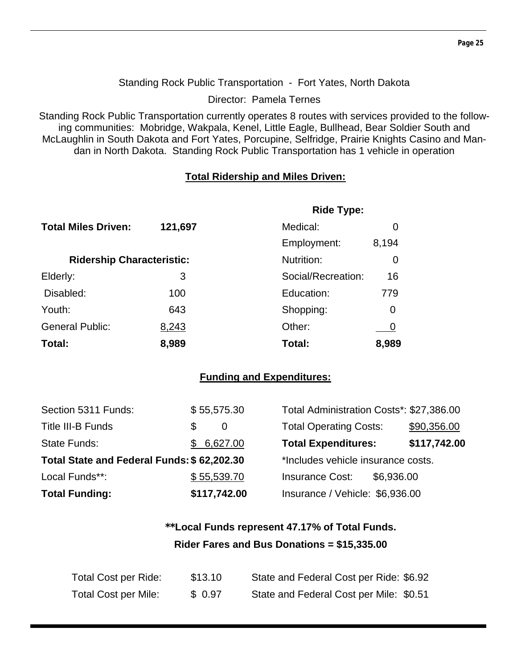#### Standing Rock Public Transportation - Fort Yates, North Dakota

Director: Pamela Ternes

Standing Rock Public Transportation currently operates 8 routes with services provided to the following communities: Mobridge, Wakpala, Kenel, Little Eagle, Bullhead, Bear Soldier South and McLaughlin in South Dakota and Fort Yates, Porcupine, Selfridge, Prairie Knights Casino and Mandan in North Dakota. Standing Rock Public Transportation has 1 vehicle in operation

## **Total Ridership and Miles Driven:**

|                                  |         | <b>Ride Type:</b>  |       |
|----------------------------------|---------|--------------------|-------|
| <b>Total Miles Driven:</b>       | 121,697 | Medical:           | O     |
|                                  |         | Employment:        | 8,194 |
| <b>Ridership Characteristic:</b> |         | Nutrition:         | O     |
| Elderly:                         | 3       | Social/Recreation: | 16    |
| Disabled:                        | 100     | Education:         | 779   |
| Youth:                           | 643     | Shopping:          | 0     |
| <b>General Public:</b>           | 8,243   | Other:             |       |
| Total:                           | 8,989   | Total:             | 8,989 |

## **Funding and Expenditures:**

| Section 5311 Funds:                        |   | \$55,575.30  | Total Administration Costs*: \$27,386.00 |            |              |
|--------------------------------------------|---|--------------|------------------------------------------|------------|--------------|
| Title III-B Funds                          | S | 0            | <b>Total Operating Costs:</b>            |            | \$90,356.00  |
| State Funds:                               |   | \$6,627.00   | <b>Total Expenditures:</b>               |            | \$117,742.00 |
| Total State and Federal Funds: \$62,202.30 |   |              | *Includes vehicle insurance costs.       |            |              |
| Local Funds**:                             |   | \$55,539.70  | <b>Insurance Cost:</b>                   | \$6,936.00 |              |
| <b>Total Funding:</b>                      |   | \$117,742.00 | Insurance / Vehicle: \$6,936.00          |            |              |

## **\*\*Local Funds represent 47.17% of Total Funds. Rider Fares and Bus Donations = \$15,335.00**

| Total Cost per Ride:        | \$13.10 | State and Federal Cost per Ride: \$6.92 |
|-----------------------------|---------|-----------------------------------------|
| <b>Total Cost per Mile:</b> | \$0.97  | State and Federal Cost per Mile: \$0.51 |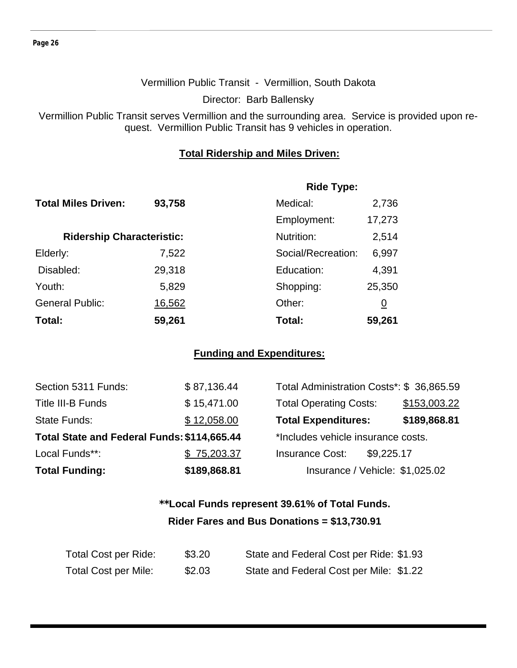#### Vermillion Public Transit - Vermillion, South Dakota

Director: Barb Ballensky

Vermillion Public Transit serves Vermillion and the surrounding area. Service is provided upon request. Vermillion Public Transit has 9 vehicles in operation.

#### **Total Ridership and Miles Driven:**

|                                  |        | <b>Ride Type:</b>  |                |
|----------------------------------|--------|--------------------|----------------|
| <b>Total Miles Driven:</b>       | 93,758 | Medical:           | 2,736          |
|                                  |        | Employment:        | 17,273         |
| <b>Ridership Characteristic:</b> |        | Nutrition:         | 2,514          |
| Elderly:                         | 7,522  | Social/Recreation: | 6,997          |
| Disabled:                        | 29,318 | Education:         | 4,391          |
| Youth:                           | 5,829  | Shopping:          | 25,350         |
| <b>General Public:</b>           | 16,562 | Other:             | $\overline{0}$ |
| Total:                           | 59,261 | Total:             | 59,261         |

## **Funding and Expenditures:**

| Section 5311 Funds:                         | \$87,136.44  | Total Administration Costs*: \$36,865.59 |              |
|---------------------------------------------|--------------|------------------------------------------|--------------|
| Title III-B Funds                           | \$15,471.00  | <b>Total Operating Costs:</b>            | \$153,003.22 |
| <b>State Funds:</b>                         | \$12,058.00  | <b>Total Expenditures:</b>               | \$189,868.81 |
| Total State and Federal Funds: \$114,665.44 |              | *Includes vehicle insurance costs.       |              |
| Local Funds**:                              | \$75,203.37  | <b>Insurance Cost:</b><br>\$9,225.17     |              |
| <b>Total Funding:</b>                       | \$189,868.81 | Insurance / Vehicle: \$1,025.02          |              |

## **\*\*Local Funds represent 39.61% of Total Funds. Rider Fares and Bus Donations = \$13,730.91**

| Total Cost per Ride:        | \$3.20 | State and Federal Cost per Ride: \$1.93 |
|-----------------------------|--------|-----------------------------------------|
| <b>Total Cost per Mile:</b> | \$2.03 | State and Federal Cost per Mile: \$1.22 |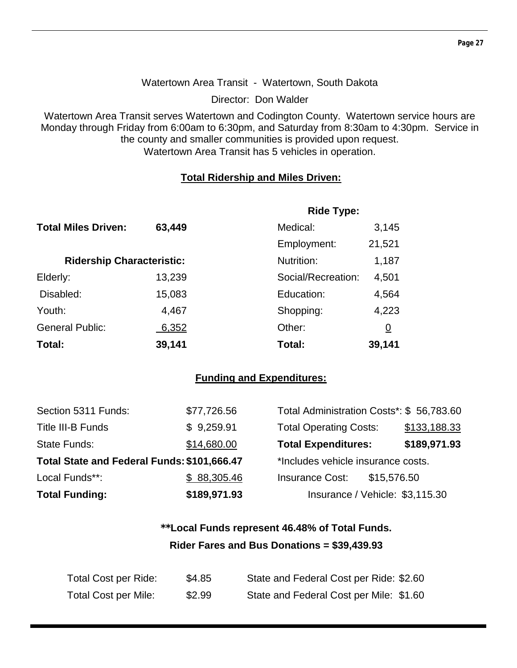## Watertown Area Transit - Watertown, South Dakota

Director: Don Walder

Watertown Area Transit serves Watertown and Codington County. Watertown service hours are Monday through Friday from 6:00am to 6:30pm, and Saturday from 8:30am to 4:30pm. Service in the county and smaller communities is provided upon request. Watertown Area Transit has 5 vehicles in operation.

## **Total Ridership and Miles Driven:**

|                                  |        | <b>Ride Type:</b>  |          |
|----------------------------------|--------|--------------------|----------|
| <b>Total Miles Driven:</b>       | 63,449 | Medical:           | 3,145    |
|                                  |        | Employment:        | 21,521   |
| <b>Ridership Characteristic:</b> |        | Nutrition:         | 1,187    |
| Elderly:                         | 13,239 | Social/Recreation: | 4,501    |
| Disabled:                        | 15,083 | Education:         | 4,564    |
| Youth:                           | 4,467  | Shopping:          | 4,223    |
| <b>General Public:</b>           | 6,352  | Other:             | <u>0</u> |
| Total:                           | 39,141 | Total:             | 39,141   |

## **Funding and Expenditures:**

| <b>Total Funding:</b>                       | \$189,971.93 | Insurance / Vehicle: \$3,115.30          |              |
|---------------------------------------------|--------------|------------------------------------------|--------------|
| Local Funds**:                              | \$88,305.46  | <b>Insurance Cost:</b><br>\$15,576.50    |              |
| Total State and Federal Funds: \$101,666.47 |              | *Includes vehicle insurance costs.       |              |
| <b>State Funds:</b>                         | \$14,680.00  | <b>Total Expenditures:</b>               | \$189,971.93 |
| <b>Title III-B Funds</b>                    | \$9,259.91   | <b>Total Operating Costs:</b>            | \$133,188.33 |
| Section 5311 Funds:                         | \$77,726.56  | Total Administration Costs*: \$56,783.60 |              |

## **\*\*Local Funds represent 46.48% of Total Funds. Rider Fares and Bus Donations = \$39,439.93**

| Total Cost per Ride:        | \$4.85 | State and Federal Cost per Ride: \$2.60 |
|-----------------------------|--------|-----------------------------------------|
| <b>Total Cost per Mile:</b> | \$2.99 | State and Federal Cost per Mile: \$1.60 |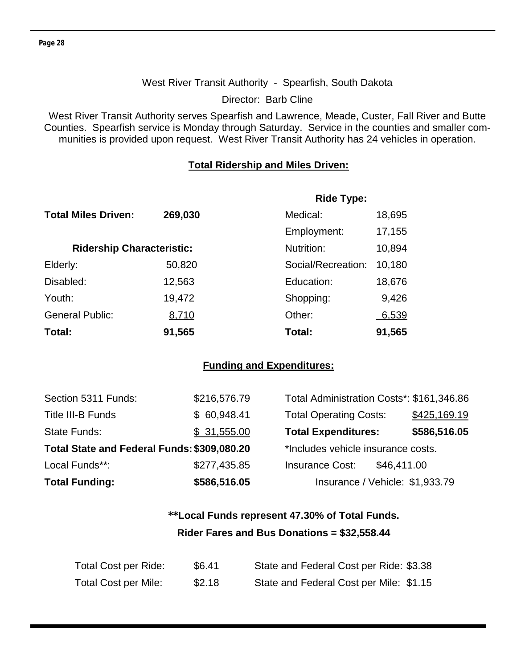## West River Transit Authority - Spearfish, South Dakota

Director: Barb Cline

West River Transit Authority serves Spearfish and Lawrence, Meade, Custer, Fall River and Butte Counties. Spearfish service is Monday through Saturday. Service in the counties and smaller communities is provided upon request. West River Transit Authority has 24 vehicles in operation.

#### **Total Ridership and Miles Driven:**

|                                  |         | <b>Ride Type:</b>  |        |
|----------------------------------|---------|--------------------|--------|
| <b>Total Miles Driven:</b>       | 269,030 | Medical:           | 18,695 |
|                                  |         | Employment:        | 17,155 |
| <b>Ridership Characteristic:</b> |         | Nutrition:         | 10,894 |
| Elderly:                         | 50,820  | Social/Recreation: | 10,180 |
| Disabled:                        | 12,563  | Education:         | 18,676 |
| Youth:                           | 19,472  | Shopping:          | 9,426  |
| <b>General Public:</b>           | 8,710   | Other:             | 6,539  |
| Total:                           | 91,565  | Total:             | 91,565 |

## **Funding and Expenditures:**

| Section 5311 Funds:                         | \$216,576.79 | Total Administration Costs*: \$161,346.86 |              |
|---------------------------------------------|--------------|-------------------------------------------|--------------|
| Title III-B Funds                           | \$60,948.41  | <b>Total Operating Costs:</b>             | \$425,169.19 |
| <b>State Funds:</b>                         | \$31,555.00  | <b>Total Expenditures:</b>                | \$586,516.05 |
| Total State and Federal Funds: \$309,080.20 |              | *Includes vehicle insurance costs.        |              |
| Local Funds**:                              | \$277,435.85 | <b>Insurance Cost:</b><br>\$46,411.00     |              |
| <b>Total Funding:</b>                       | \$586,516.05 | Insurance / Vehicle: \$1,933.79           |              |

## **\*\*Local Funds represent 47.30% of Total Funds. Rider Fares and Bus Donations = \$32,558.44**

| Total Cost per Ride:        | \$6.41 | State and Federal Cost per Ride: \$3.38 |
|-----------------------------|--------|-----------------------------------------|
| <b>Total Cost per Mile:</b> | \$2.18 | State and Federal Cost per Mile: \$1.15 |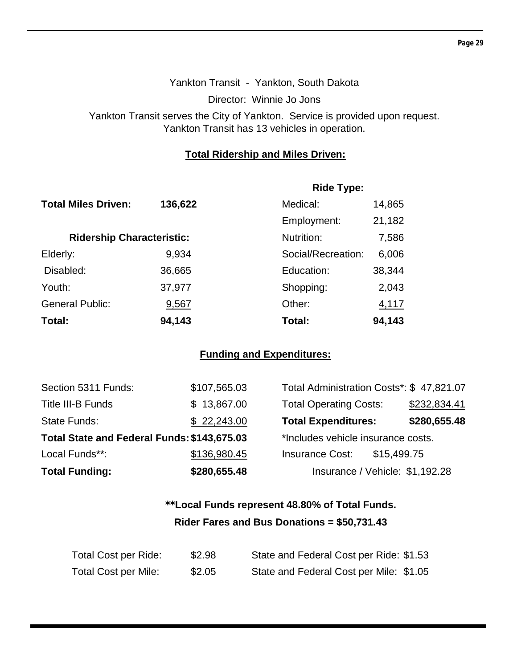## Yankton Transit - Yankton, South Dakota Director: Winnie Jo Jons Yankton Transit serves the City of Yankton. Service is provided upon request. Yankton Transit has 13 vehicles in operation.

## **Total Ridership and Miles Driven:**

|                                  |         | <b>Ride Type:</b>  |        |
|----------------------------------|---------|--------------------|--------|
| <b>Total Miles Driven:</b>       | 136,622 | Medical:           | 14,865 |
|                                  |         | Employment:        | 21,182 |
| <b>Ridership Characteristic:</b> |         | Nutrition:         | 7,586  |
| Elderly:                         | 9,934   | Social/Recreation: | 6,006  |
| Disabled:                        | 36,665  | Education:         | 38,344 |
| Youth:                           | 37,977  | Shopping:          | 2,043  |
| <b>General Public:</b>           | 9,567   | Other:             | 4,117  |
| Total:                           | 94,143  | Total:             | 94,143 |

## **Funding and Expenditures:**

| Section 5311 Funds:                         | \$107,565.03 | Total Administration Costs*: \$47,821.07 |              |
|---------------------------------------------|--------------|------------------------------------------|--------------|
| Title III-B Funds                           | \$13,867.00  | <b>Total Operating Costs:</b>            | \$232,834.41 |
| <b>State Funds:</b>                         | \$22,243.00  | <b>Total Expenditures:</b>               | \$280,655.48 |
| Total State and Federal Funds: \$143,675.03 |              | *Includes vehicle insurance costs.       |              |
| Local Funds**:                              | \$136,980.45 | <b>Insurance Cost:</b><br>\$15,499.75    |              |
| <b>Total Funding:</b>                       | \$280,655.48 | Insurance / Vehicle: \$1,192.28          |              |

## **\*\*Local Funds represent 48.80% of Total Funds. Rider Fares and Bus Donations = \$50,731.43**

| Total Cost per Ride: | \$2.98 | State and Federal Cost per Ride: \$1.53 |
|----------------------|--------|-----------------------------------------|
| Total Cost per Mile: | \$2.05 | State and Federal Cost per Mile: \$1.05 |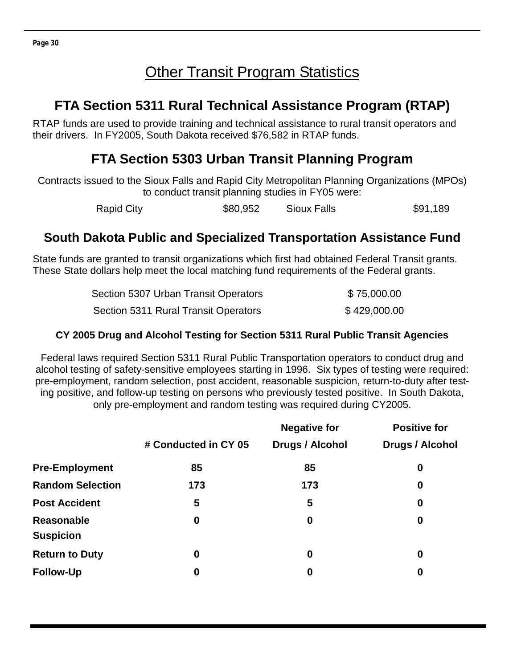## **Other Transit Program Statistics**

## **FTA Section 5311 Rural Technical Assistance Program (RTAP)**

RTAP funds are used to provide training and technical assistance to rural transit operators and their drivers. In FY2005, South Dakota received \$76,582 in RTAP funds.

## **FTA Section 5303 Urban Transit Planning Program**

Contracts issued to the Sioux Falls and Rapid City Metropolitan Planning Organizations (MPOs) to conduct transit planning studies in FY05 were:

Rapid City **\$80,952** Sioux Falls \$91,189

## **South Dakota Public and Specialized Transportation Assistance Fund**

State funds are granted to transit organizations which first had obtained Federal Transit grants. These State dollars help meet the local matching fund requirements of the Federal grants.

| Section 5307 Urban Transit Operators | \$75,000.00  |
|--------------------------------------|--------------|
| Section 5311 Rural Transit Operators | \$429,000.00 |

## **CY 2005 Drug and Alcohol Testing for Section 5311 Rural Public Transit Agencies**

Federal laws required Section 5311 Rural Public Transportation operators to conduct drug and alcohol testing of safety-sensitive employees starting in 1996. Six types of testing were required: pre-employment, random selection, post accident, reasonable suspicion, return-to-duty after testing positive, and follow-up testing on persons who previously tested positive. In South Dakota, only pre-employment and random testing was required during CY2005.

|                                |                      | <b>Negative for</b> | <b>Positive for</b> |
|--------------------------------|----------------------|---------------------|---------------------|
|                                | # Conducted in CY 05 | Drugs / Alcohol     | Drugs / Alcohol     |
| <b>Pre-Employment</b>          | 85                   | 85                  | 0                   |
| <b>Random Selection</b>        | 173                  | 173                 | $\boldsymbol{0}$    |
| <b>Post Accident</b>           | 5                    | 5                   | $\boldsymbol{0}$    |
| Reasonable<br><b>Suspicion</b> | 0                    | $\boldsymbol{0}$    | $\boldsymbol{0}$    |
| <b>Return to Duty</b>          | 0                    | $\boldsymbol{0}$    | $\boldsymbol{0}$    |
| <b>Follow-Up</b>               | 0                    | 0                   | $\boldsymbol{0}$    |